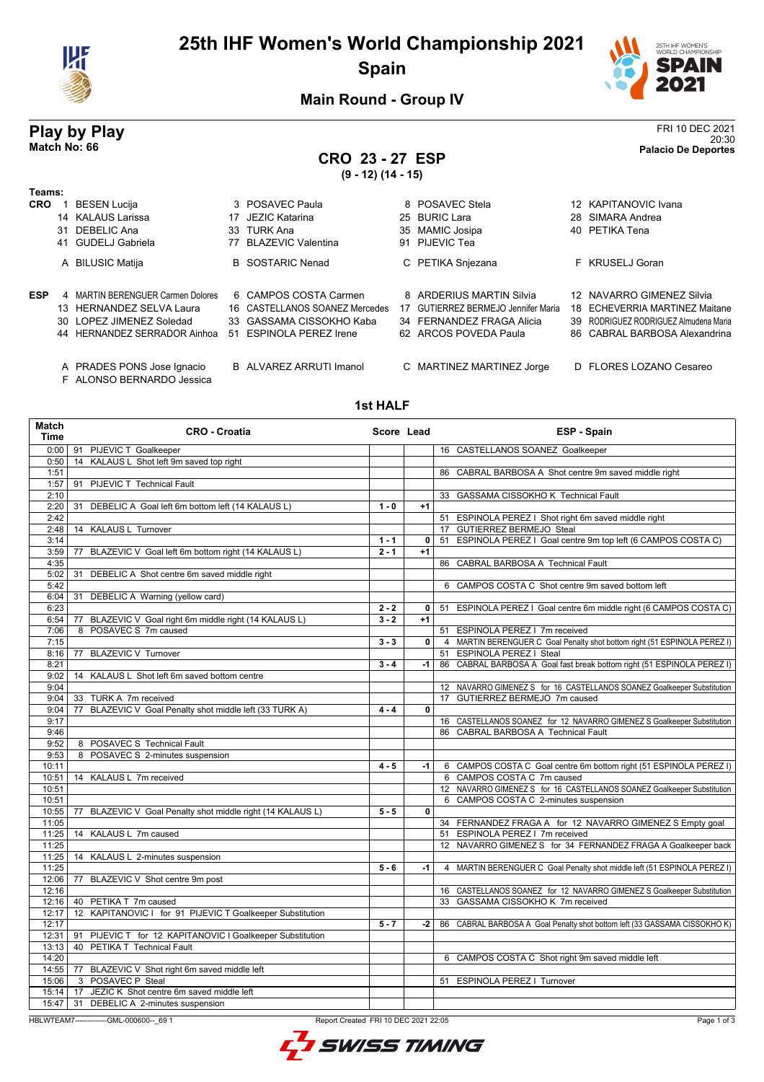

## **25th IHF Women's World Championship 2021 Spain**



**Main Round - Group IV**

#### **Play by Play** FRI 10 DEC 2021 20:30 **Match No: 66 Palacio De Deportes**

F ALONSO BERNARDO Jessica

# **CRO 23 - 27 ESP**

**(9 - 12) (14 - 15)**

| Teams:     |                                   |                                |    |                                  |                                       |
|------------|-----------------------------------|--------------------------------|----|----------------------------------|---------------------------------------|
| <b>CRO</b> | <b>BESEN Lucija</b>               | 3 POSAVEC Paula                |    | 8 POSAVEC Stela                  | 12 KAPITANOVIC Ivana                  |
|            | 14 KALAUS Larissa                 | 17 JEZIC Katarina              |    | 25 BURIC Lara                    | 28 SIMARA Andrea                      |
|            | 31 DEBELIC Ana                    | 33 TURK Ana                    |    | 35 MAMIC Josipa                  | 40 PETIKA Tena                        |
|            | 41 GUDELJ Gabriela                | 77 BLAZEVIC Valentina          |    | 91 PIJEVIC Tea                   |                                       |
|            | A BILUSIC Matija                  | <b>B</b> SOSTARIC Nenad        |    | C PETIKA Snjezana                | F KRUSELJ Goran                       |
| <b>ESP</b> | 4 MARTIN BERENGUER Carmen Dolores | 6 CAMPOS COSTA Carmen          |    | 8 ARDERIUS MARTIN Silvia         | 12 NAVARRO GIMENEZ Silvia             |
|            | 13 HERNANDEZ SELVA Laura          | 16 CASTELLANOS SOANEZ Mercedes | 17 | GUTIERREZ BERMEJO Jennifer Maria | 18 ECHEVERRIA MARTINEZ Maitane        |
|            | 30 LOPEZ JIMENEZ Soledad          | 33 GASSAMA CISSOKHO Kaba       |    | 34 FERNANDEZ FRAGA Alicia        | 39 RODRIGUEZ RODRIGUEZ Almudena Maria |
|            | 44 HERNANDEZ SERRADOR Ainhoa      | 51 ESPINOLA PEREZ Irene        |    | 62 ARCOS POVEDA Paula            | 86 CABRAL BARBOSA Alexandrina         |
|            | A PRADES PONS Jose Ignacio        | B ALVAREZ ARRUTI Imanol        |    | C MARTINEZ MARTINEZ Jorge        | D FLORES LOZANO Cesareo               |

**1st HALF**

| Match<br>Time  | <b>CRO - Croatia</b>                                       | Score Lead         |                | ESP - Spain                                                               |
|----------------|------------------------------------------------------------|--------------------|----------------|---------------------------------------------------------------------------|
| 0:00           | 91 PIJEVIC T Goalkeeper                                    |                    |                | 16 CASTELLANOS SOANEZ Goalkeeper                                          |
| 0:50           | 14 KALAUS L Shot left 9m saved top right                   |                    |                |                                                                           |
| 1:51           |                                                            |                    |                | 86 CABRAL BARBOSA A Shot centre 9m saved middle right                     |
| 1:57           | 91 PIJEVIC T Technical Fault                               |                    |                |                                                                           |
| 2:10           |                                                            |                    |                | 33 GASSAMA CISSOKHO K Technical Fault                                     |
| 2:20           | 31 DEBELIC A Goal left 6m bottom left (14 KALAUS L)        | $1 - 0$            | $+1$           |                                                                           |
| 2:42           |                                                            |                    |                | 51 ESPINOLA PEREZ I Shot right 6m saved middle right                      |
| 2:48           | 14 KALAUS L Turnover                                       |                    |                | 17 GUTIERREZ BERMEJO Steal                                                |
| 3:14           |                                                            | $1 - 1$<br>$2 - 1$ | 0<br>$+1$      | 51 ESPINOLA PEREZ I Goal centre 9m top left (6 CAMPOS COSTA C)            |
| 3:59<br>4:35   | 77 BLAZEVIC V Goal left 6m bottom right (14 KALAUS L)      |                    |                | 86 CABRAL BARBOSA A Technical Fault                                       |
| 5:02           | 31 DEBELIC A Shot centre 6m saved middle right             |                    |                |                                                                           |
| 5:42           |                                                            |                    |                | 6 CAMPOS COSTA C Shot centre 9m saved bottom left                         |
| 6:04           | 31 DEBELIC A Warning (yellow card)                         |                    |                |                                                                           |
| 6:23           |                                                            | $2 - 2$            | $\mathbf{0}$   | 51 ESPINOLA PEREZ I Goal centre 6m middle right (6 CAMPOS COSTA C)        |
| 6:54           | 77 BLAZEVIC V Goal right 6m middle right (14 KALAUS L)     | $3 - 2$            | $+1$           |                                                                           |
| 7:06           | 8 POSAVEC S 7m caused                                      |                    |                | 51 ESPINOLA PEREZ I 7m received                                           |
| 7:15           |                                                            | $3 - 3$            | 0              | 4 MARTIN BERENGUER C Goal Penalty shot bottom right (51 ESPINOLA PEREZ I) |
| 8:16           | 77 BLAZEVIC V Turnover                                     |                    |                | 51 ESPINOLA PEREZ I Steal                                                 |
| 8:21           |                                                            | $3 - 4$            | -1             | 86 CABRAL BARBOSA A Goal fast break bottom right (51 ESPINOLA PEREZ I)    |
| 9:02           | 14 KALAUS L Shot left 6m saved bottom centre               |                    |                |                                                                           |
| 9:04           |                                                            |                    |                | 12 NAVARRO GIMENEZ S for 16 CASTELLANOS SOANEZ Goalkeeper Substitution    |
| 9:04           | 33 TURK A 7m received                                      |                    |                | 17 GUTIERREZ BERMEJO 7m caused                                            |
| 9:04           | BLAZEVIC V Goal Penalty shot middle left (33 TURK A)<br>77 | $4 - 4$            | 0              |                                                                           |
| 9:17           |                                                            |                    |                | 16 CASTELLANOS SOANEZ for 12 NAVARRO GIMENEZ S Goalkeeper Substitution    |
| 9:46           |                                                            |                    |                | 86 CABRAL BARBOSA A Technical Fault                                       |
| 9:52           | 8 POSAVEC S Technical Fault                                |                    |                |                                                                           |
| 9:53           | 8 POSAVEC S 2-minutes suspension                           |                    |                |                                                                           |
| 10:11          |                                                            | $4 - 5$            | $-1$           | 6 CAMPOS COSTA C Goal centre 6m bottom right (51 ESPINOLA PEREZ I)        |
| 10:51          | 14 KALAUS L 7m received                                    |                    |                | 6 CAMPOS COSTA C 7m caused                                                |
| 10:51<br>10:51 |                                                            |                    |                | 12 NAVARRO GIMENEZ S for 16 CASTELLANOS SOANEZ Goalkeeper Substitution    |
| 10:55          | 77 BLAZEVIC V Goal Penalty shot middle right (14 KALAUS L) | $5 - 5$            | $\overline{0}$ | 6 CAMPOS COSTA C 2-minutes suspension                                     |
| 11:05          |                                                            |                    |                | 34 FERNANDEZ FRAGA A for 12 NAVARRO GIMENEZ S Empty goal                  |
| 11:25          | 14 KALAUS L 7m caused                                      |                    |                | 51 ESPINOLA PEREZ I 7m received                                           |
| 11:25          |                                                            |                    |                | 12 NAVARRO GIMENEZ S for 34 FERNANDEZ FRAGA A Goalkeeper back             |
| 11:25          | 14 KALAUS L 2-minutes suspension                           |                    |                |                                                                           |
| 11:25          |                                                            | $5 - 6$            | -1             | 4 MARTIN BERENGUER C Goal Penalty shot middle left (51 ESPINOLA PEREZ I)  |
| 12:06          | 77 BLAZEVIC V Shot centre 9m post                          |                    |                |                                                                           |
| 12:16          |                                                            |                    |                | 16 CASTELLANOS SOANEZ for 12 NAVARRO GIMENEZ S Goalkeeper Substitution    |
| 12:16          | 40 PETIKA T 7m caused                                      |                    |                | 33 GASSAMA CISSOKHO K 7m received                                         |
| 12:17          | 12 KAPITANOVIC I for 91 PIJEVIC T Goalkeeper Substitution  |                    |                |                                                                           |
| 12:17          |                                                            | $5 - 7$            | -2             | 86 CABRAL BARBOSA A Goal Penalty shot bottom left (33 GASSAMA CISSOKHO K) |
| 12:31          | 91 PIJEVIC T for 12 KAPITANOVIC I Goalkeeper Substitution  |                    |                |                                                                           |
| 13:13          | 40 PETIKA T Technical Fault                                |                    |                |                                                                           |
| 14:20          |                                                            |                    |                | 6 CAMPOS COSTA C Shot right 9m saved middle left                          |
| 14:55          | 77 BLAZEVIC V Shot right 6m saved middle left              |                    |                |                                                                           |
| 15:06          | 3 POSAVEC P Steal                                          |                    |                | 51 ESPINOLA PEREZ I Turnover                                              |
| 15:14          | 17 JEZIC K Shot centre 6m saved middle left                |                    |                |                                                                           |
| 15:47          | 31 DEBELIC A 2-minutes suspension                          |                    |                |                                                                           |

HBLWTEAM7--------------GML-000600--\_69 1 Report Created FRI 10 DEC 2021 22:05

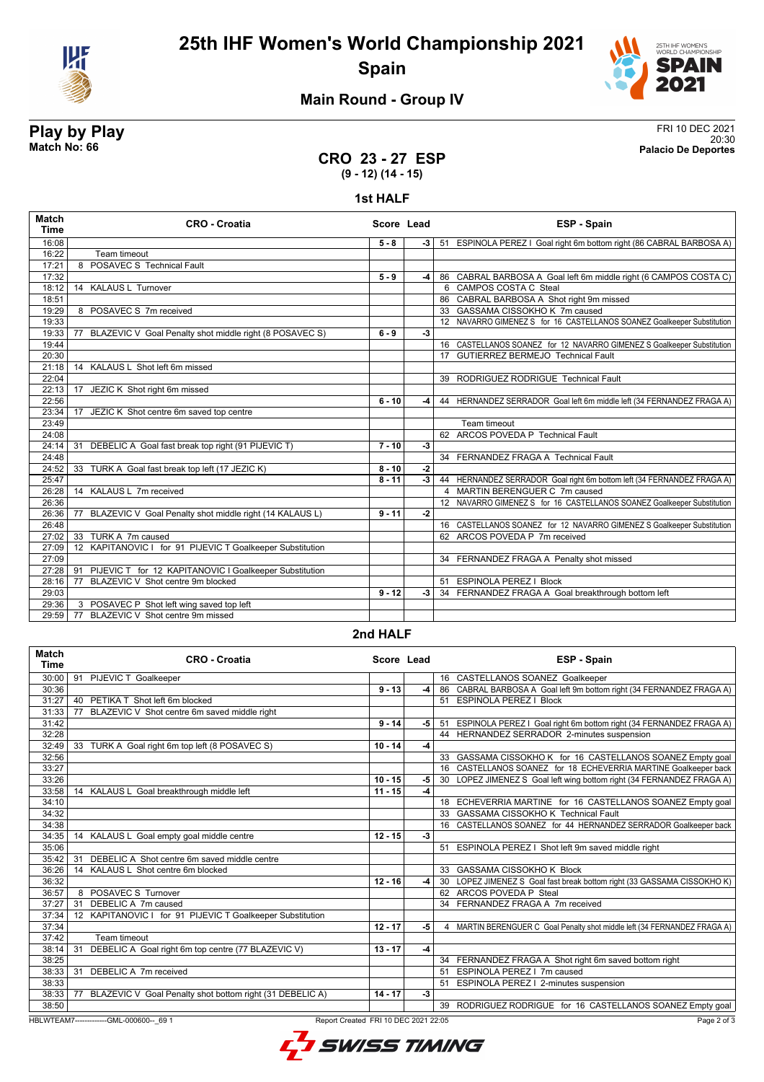



## **Main Round - Group IV**

# **Play by Play** FRI 10 DEC 2021

20:30 **Match No: 66 Palacio De Deportes**

#### **CRO 23 - 27 ESP (9 - 12) (14 - 15)**

#### **1st HALF**

| 16:08<br>$5 - 8$<br>$-3$<br>16:22<br>Team timeout<br>POSAVEC S Technical Fault<br>17:21<br>8<br>17:32<br>$5 - 9$<br>-4<br>14 KALAUS L Turnover<br>6 CAMPOS COSTA C Steal<br>18:12<br>86 CABRAL BARBOSA A Shot right 9m missed<br>18:51<br>8 POSAVEC S 7m received<br>33 GASSAMA CISSOKHO K 7m caused<br>19:29<br>12 NAVARRO GIMENEZ S for 16 CASTELLANOS SOANEZ Goalkeeper Substitution<br>19:33<br>BLAZEVIC V Goal Penalty shot middle right (8 POSAVEC S)<br>$6 - 9$<br>19:33<br>77<br>$-3$<br>16 CASTELLANOS SOANEZ for 12 NAVARRO GIMENEZ S Goalkeeper Substitution<br>19:44<br>20:30<br>17 GUTIERREZ BERMEJO Technical Fault<br>14 KALAUS L Shot left 6m missed<br>21:18<br>22:04<br>39 RODRIGUEZ RODRIGUE Technical Fault<br>22:13<br>JEZIC K Shot right 6m missed<br>17<br>22:56<br>$6 - 10$<br>-4<br>17 JEZIC K Shot centre 6m saved top centre<br>23:34<br>23:49<br>Team timeout<br>62 ARCOS POVEDA P Technical Fault<br>24:08<br>DEBELIC A Goal fast break top right (91 PIJEVIC T)<br>$7 - 10$<br>$-3$<br>24:14<br>31 | ESP - Spain<br>Score Lead                                              |  | <b>CRO - Croatia</b> | <b>Match</b><br><b>Time</b> |
|----------------------------------------------------------------------------------------------------------------------------------------------------------------------------------------------------------------------------------------------------------------------------------------------------------------------------------------------------------------------------------------------------------------------------------------------------------------------------------------------------------------------------------------------------------------------------------------------------------------------------------------------------------------------------------------------------------------------------------------------------------------------------------------------------------------------------------------------------------------------------------------------------------------------------------------------------------------------------------------------------------------------------------|------------------------------------------------------------------------|--|----------------------|-----------------------------|
|                                                                                                                                                                                                                                                                                                                                                                                                                                                                                                                                                                                                                                                                                                                                                                                                                                                                                                                                                                                                                                  | 51 ESPINOLA PEREZ I Goal right 6m bottom right (86 CABRAL BARBOSA A)   |  |                      |                             |
|                                                                                                                                                                                                                                                                                                                                                                                                                                                                                                                                                                                                                                                                                                                                                                                                                                                                                                                                                                                                                                  |                                                                        |  |                      |                             |
|                                                                                                                                                                                                                                                                                                                                                                                                                                                                                                                                                                                                                                                                                                                                                                                                                                                                                                                                                                                                                                  |                                                                        |  |                      |                             |
|                                                                                                                                                                                                                                                                                                                                                                                                                                                                                                                                                                                                                                                                                                                                                                                                                                                                                                                                                                                                                                  | 86 CABRAL BARBOSA A Goal left 6m middle right (6 CAMPOS COSTA C)       |  |                      |                             |
|                                                                                                                                                                                                                                                                                                                                                                                                                                                                                                                                                                                                                                                                                                                                                                                                                                                                                                                                                                                                                                  |                                                                        |  |                      |                             |
|                                                                                                                                                                                                                                                                                                                                                                                                                                                                                                                                                                                                                                                                                                                                                                                                                                                                                                                                                                                                                                  |                                                                        |  |                      |                             |
|                                                                                                                                                                                                                                                                                                                                                                                                                                                                                                                                                                                                                                                                                                                                                                                                                                                                                                                                                                                                                                  |                                                                        |  |                      |                             |
|                                                                                                                                                                                                                                                                                                                                                                                                                                                                                                                                                                                                                                                                                                                                                                                                                                                                                                                                                                                                                                  |                                                                        |  |                      |                             |
|                                                                                                                                                                                                                                                                                                                                                                                                                                                                                                                                                                                                                                                                                                                                                                                                                                                                                                                                                                                                                                  |                                                                        |  |                      |                             |
|                                                                                                                                                                                                                                                                                                                                                                                                                                                                                                                                                                                                                                                                                                                                                                                                                                                                                                                                                                                                                                  |                                                                        |  |                      |                             |
|                                                                                                                                                                                                                                                                                                                                                                                                                                                                                                                                                                                                                                                                                                                                                                                                                                                                                                                                                                                                                                  |                                                                        |  |                      |                             |
|                                                                                                                                                                                                                                                                                                                                                                                                                                                                                                                                                                                                                                                                                                                                                                                                                                                                                                                                                                                                                                  |                                                                        |  |                      |                             |
|                                                                                                                                                                                                                                                                                                                                                                                                                                                                                                                                                                                                                                                                                                                                                                                                                                                                                                                                                                                                                                  |                                                                        |  |                      |                             |
|                                                                                                                                                                                                                                                                                                                                                                                                                                                                                                                                                                                                                                                                                                                                                                                                                                                                                                                                                                                                                                  |                                                                        |  |                      |                             |
|                                                                                                                                                                                                                                                                                                                                                                                                                                                                                                                                                                                                                                                                                                                                                                                                                                                                                                                                                                                                                                  | 44 HERNANDEZ SERRADOR Goal left 6m middle left (34 FERNANDEZ FRAGA A)  |  |                      |                             |
|                                                                                                                                                                                                                                                                                                                                                                                                                                                                                                                                                                                                                                                                                                                                                                                                                                                                                                                                                                                                                                  |                                                                        |  |                      |                             |
|                                                                                                                                                                                                                                                                                                                                                                                                                                                                                                                                                                                                                                                                                                                                                                                                                                                                                                                                                                                                                                  |                                                                        |  |                      |                             |
|                                                                                                                                                                                                                                                                                                                                                                                                                                                                                                                                                                                                                                                                                                                                                                                                                                                                                                                                                                                                                                  |                                                                        |  |                      |                             |
|                                                                                                                                                                                                                                                                                                                                                                                                                                                                                                                                                                                                                                                                                                                                                                                                                                                                                                                                                                                                                                  |                                                                        |  |                      |                             |
| 34 FERNANDEZ FRAGA A Technical Fault<br>24:48                                                                                                                                                                                                                                                                                                                                                                                                                                                                                                                                                                                                                                                                                                                                                                                                                                                                                                                                                                                    |                                                                        |  |                      |                             |
| 24:52<br>33 TURK A Goal fast break top left (17 JEZIC K)<br>$8 - 10$<br>$-2$                                                                                                                                                                                                                                                                                                                                                                                                                                                                                                                                                                                                                                                                                                                                                                                                                                                                                                                                                     |                                                                        |  |                      |                             |
| 25:47<br>$8 - 11$<br>$-3$                                                                                                                                                                                                                                                                                                                                                                                                                                                                                                                                                                                                                                                                                                                                                                                                                                                                                                                                                                                                        | 44 HERNANDEZ SERRADOR Goal right 6m bottom left (34 FERNANDEZ FRAGA A) |  |                      |                             |
| 14 KALAUS L 7m received<br>4 MARTIN BERENGUER C 7m caused<br>26:28                                                                                                                                                                                                                                                                                                                                                                                                                                                                                                                                                                                                                                                                                                                                                                                                                                                                                                                                                               |                                                                        |  |                      |                             |
| 26:36                                                                                                                                                                                                                                                                                                                                                                                                                                                                                                                                                                                                                                                                                                                                                                                                                                                                                                                                                                                                                            | 12 NAVARRO GIMENEZ S for 16 CASTELLANOS SOANEZ Goalkeeper Substitution |  |                      |                             |
| $9 - 11$<br>BLAZEVIC V Goal Penalty shot middle right (14 KALAUS L)<br>$-2$<br>26:36<br>77                                                                                                                                                                                                                                                                                                                                                                                                                                                                                                                                                                                                                                                                                                                                                                                                                                                                                                                                       |                                                                        |  |                      |                             |
| 26:48                                                                                                                                                                                                                                                                                                                                                                                                                                                                                                                                                                                                                                                                                                                                                                                                                                                                                                                                                                                                                            | 16 CASTELLANOS SOANEZ for 12 NAVARRO GIMENEZ S Goalkeeper Substitution |  |                      |                             |
| 33 TURK A 7m caused<br>62 ARCOS POVEDA P 7m received<br>27:02                                                                                                                                                                                                                                                                                                                                                                                                                                                                                                                                                                                                                                                                                                                                                                                                                                                                                                                                                                    |                                                                        |  |                      |                             |
| 12 KAPITANOVIC I for 91 PIJEVIC T Goalkeeper Substitution<br>27:09                                                                                                                                                                                                                                                                                                                                                                                                                                                                                                                                                                                                                                                                                                                                                                                                                                                                                                                                                               |                                                                        |  |                      |                             |
| 27:09<br>34 FERNANDEZ FRAGA A Penalty shot missed                                                                                                                                                                                                                                                                                                                                                                                                                                                                                                                                                                                                                                                                                                                                                                                                                                                                                                                                                                                |                                                                        |  |                      |                             |
| PIJEVIC T for 12 KAPITANOVIC I Goalkeeper Substitution<br>27:28<br>91                                                                                                                                                                                                                                                                                                                                                                                                                                                                                                                                                                                                                                                                                                                                                                                                                                                                                                                                                            |                                                                        |  |                      |                             |
| BLAZEVIC V Shot centre 9m blocked<br>77<br>51 ESPINOLA PEREZ   Block<br>28:16                                                                                                                                                                                                                                                                                                                                                                                                                                                                                                                                                                                                                                                                                                                                                                                                                                                                                                                                                    |                                                                        |  |                      |                             |
| 34 FERNANDEZ FRAGA A Goal breakthrough bottom left<br>29:03<br>$9 - 12$<br>-3                                                                                                                                                                                                                                                                                                                                                                                                                                                                                                                                                                                                                                                                                                                                                                                                                                                                                                                                                    |                                                                        |  |                      |                             |
| 3 POSAVEC P Shot left wing saved top left<br>29:36                                                                                                                                                                                                                                                                                                                                                                                                                                                                                                                                                                                                                                                                                                                                                                                                                                                                                                                                                                               |                                                                        |  |                      |                             |
| BLAZEVIC V Shot centre 9m missed<br>29:59<br>77                                                                                                                                                                                                                                                                                                                                                                                                                                                                                                                                                                                                                                                                                                                                                                                                                                                                                                                                                                                  |                                                                        |  |                      |                             |

#### **2nd HALF**

| <b>Match</b><br><b>Time</b> | <b>CRO - Croatia</b>                                                            | Score Lead |      | <b>ESP - Spain</b>                                                        |
|-----------------------------|---------------------------------------------------------------------------------|------------|------|---------------------------------------------------------------------------|
| 30:00                       | 91 PIJEVIC T Goalkeeper                                                         |            |      | 16 CASTELLANOS SOANEZ Goalkeeper                                          |
| 30:36                       |                                                                                 | $9 - 13$   | $-4$ | 86 CABRAL BARBOSA A Goal left 9m bottom right (34 FERNANDEZ FRAGA A)      |
| 31:27                       | PETIKA T Shot left 6m blocked<br>40                                             |            |      | 51 ESPINOLA PEREZ   Block                                                 |
| 31:33                       | BLAZEVIC V Shot centre 6m saved middle right<br>77                              |            |      |                                                                           |
| 31:42                       |                                                                                 | $9 - 14$   | -5   | 51 ESPINOLA PEREZ I Goal right 6m bottom right (34 FERNANDEZ FRAGA A)     |
| 32:28                       |                                                                                 |            |      | 44 HERNANDEZ SERRADOR 2-minutes suspension                                |
| 32:49                       | 33 TURK A Goal right 6m top left (8 POSAVEC S)                                  | $10 - 14$  | $-4$ |                                                                           |
| 32:56                       |                                                                                 |            |      | 33 GASSAMA CISSOKHO K for 16 CASTELLANOS SOANEZ Empty goal                |
| 33:27                       |                                                                                 |            |      | 16 CASTELLANOS SOANEZ for 18 ECHEVERRIA MARTINE Goalkeeper back           |
| 33:26                       |                                                                                 | $10 - 15$  | -5   | 30 LOPEZ JIMENEZ S Goal left wing bottom right (34 FERNANDEZ FRAGA A)     |
| 33:58                       | 14 KALAUS L Goal breakthrough middle left                                       | $11 - 15$  | $-4$ |                                                                           |
| 34:10                       |                                                                                 |            |      | 18 ECHEVERRIA MARTINE for 16 CASTELLANOS SOANEZ Empty goal                |
| 34:32                       |                                                                                 |            |      | 33 GASSAMA CISSOKHO K Technical Fault                                     |
| 34:38                       |                                                                                 |            |      | 16 CASTELLANOS SOANEZ for 44 HERNANDEZ SERRADOR Goalkeeper back           |
| 34:35                       | 14 KALAUS L Goal empty goal middle centre                                       | $12 - 15$  | $-3$ |                                                                           |
| 35:06                       |                                                                                 |            |      | 51 ESPINOLA PEREZ I Shot left 9m saved middle right                       |
| 35:42                       | DEBELIC A Shot centre 6m saved middle centre<br>31                              |            |      |                                                                           |
| 36:26                       | 14 KALAUS L Shot centre 6m blocked                                              |            |      | 33 GASSAMA CISSOKHO K Block                                               |
| 36:32                       |                                                                                 | $12 - 16$  | $-4$ | 30 LOPEZ JIMENEZ S Goal fast break bottom right (33 GASSAMA CISSOKHO K)   |
| 36:57                       | 8 POSAVEC S Turnover                                                            |            |      | 62 ARCOS POVEDA P Steal                                                   |
| 37:27                       | DEBELIC A 7m caused<br>31                                                       |            |      | 34 FERNANDEZ FRAGA A 7m received                                          |
| 37:34                       | 12 KAPITANOVIC I for 91 PIJEVIC T Goalkeeper Substitution                       |            |      |                                                                           |
| 37:34                       |                                                                                 | $12 - 17$  | -5   | 4 MARTIN BERENGUER C Goal Penalty shot middle left (34 FERNANDEZ FRAGA A) |
| 37:42                       | Team timeout                                                                    |            |      |                                                                           |
| 38:14                       | DEBELIC A Goal right 6m top centre (77 BLAZEVIC V)<br>31                        | $13 - 17$  | -4   |                                                                           |
| 38:25                       |                                                                                 |            |      | 34 FERNANDEZ FRAGA A Shot right 6m saved bottom right                     |
| 38:33                       | DEBELIC A 7m received<br>31                                                     |            |      | 51 ESPINOLA PEREZ   7m caused                                             |
| 38:33                       |                                                                                 |            |      | 51 ESPINOLA PEREZ   2-minutes suspension                                  |
| 38:33                       | BLAZEVIC V Goal Penalty shot bottom right (31 DEBELIC A)<br>77                  | $14 - 17$  | $-3$ |                                                                           |
| 38:50                       |                                                                                 |            |      | 39 RODRIGUEZ RODRIGUE for 16 CASTELLANOS SOANEZ Empty goal                |
|                             | HBLWTEAM7-------------GML-000600-- 69 1<br>Report Created FRI 10 DEC 2021 22:05 |            |      | Page 2 of 3                                                               |